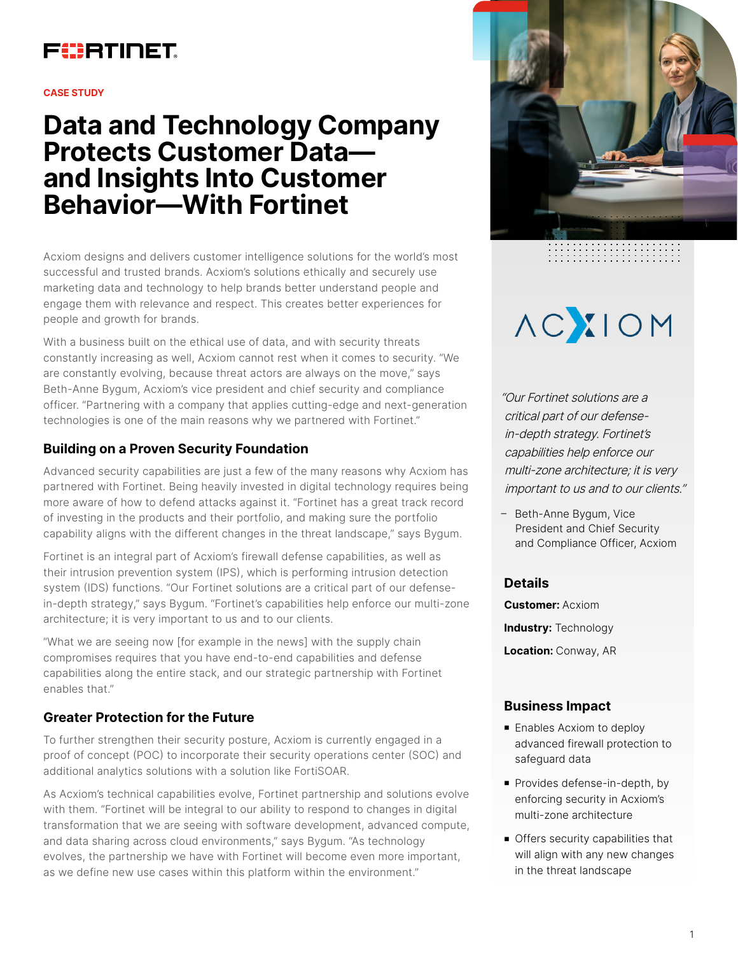

#### **CASE STUDY**

# **Data and Technology Company Protects Customer Data and Insights Into Customer Behavior—With Fortinet**

Acxiom designs and delivers customer intelligence solutions for the world's most successful and trusted brands. Acxiom's solutions ethically and securely use marketing data and technology to help brands better understand people and engage them with relevance and respect. This creates better experiences for people and growth for brands.

With a business built on the ethical use of data, and with security threats constantly increasing as well, Acxiom cannot rest when it comes to security. "We are constantly evolving, because threat actors are always on the move," says Beth-Anne Bygum, Acxiom's vice president and chief security and compliance officer. "Partnering with a company that applies cutting-edge and next-generation technologies is one of the main reasons why we partnered with Fortinet."

### **Building on a Proven Security Foundation**

Advanced security capabilities are just a few of the many reasons why Acxiom has partnered with Fortinet. Being heavily invested in digital technology requires being more aware of how to defend attacks against it. "Fortinet has a great track record of investing in the products and their portfolio, and making sure the portfolio capability aligns with the different changes in the threat landscape," says Bygum.

Fortinet is an integral part of Acxiom's firewall defense capabilities, as well as their intrusion prevention system (IPS), which is performing intrusion detection system (IDS) functions. "Our Fortinet solutions are a critical part of our defensein-depth strategy," says Bygum. "Fortinet's capabilities help enforce our multi-zone architecture; it is very important to us and to our clients.

"What we are seeing now [for example in the news] with the supply chain compromises requires that you have end-to-end capabilities and defense capabilities along the entire stack, and our strategic partnership with Fortinet enables that."

# **Greater Protection for the Future**

To further strengthen their security posture, Acxiom is currently engaged in a proof of concept (POC) to incorporate their security operations center (SOC) and additional analytics solutions with a solution like FortiSOAR.

As Acxiom's technical capabilities evolve, Fortinet partnership and solutions evolve with them. "Fortinet will be integral to our ability to respond to changes in digital transformation that we are seeing with software development, advanced compute, and data sharing across cloud environments," says Bygum. "As technology evolves, the partnership we have with Fortinet will become even more important, as we define new use cases within this platform within the environment."



# **AC IOM**

"Our Fortinet solutions are a critical part of our defensein-depth strategy. Fortinet's capabilities help enforce our multi-zone architecture; it is very important to us and to our clients."

– Beth-Anne Bygum, Vice President and Chief Security and Compliance Officer, Acxiom

### **Details**

**Customer:** Acxiom **Industry:** Technology **Location:** Conway, AR

# **Business Impact**

- **Enables Acxiom to deploy** advanced firewall protection to safeguard data
- **Provides defense-in-depth, by** enforcing security in Acxiom's multi-zone architecture
- $\blacksquare$  Offers security capabilities that will align with any new changes in the threat landscape